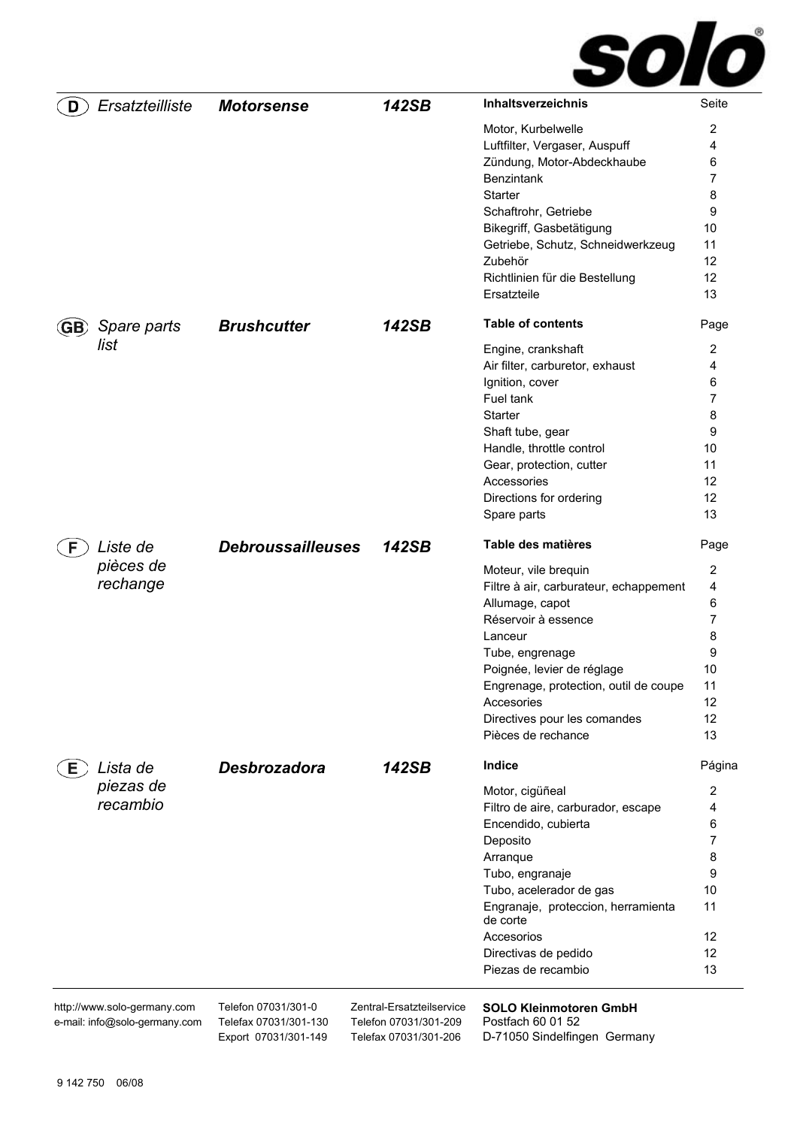

| D     | Ersatzteilliste                                              | <b>Motorsense</b>                            | 142SB                                              | Inhaltsverzeichnis                                 | Seite          |
|-------|--------------------------------------------------------------|----------------------------------------------|----------------------------------------------------|----------------------------------------------------|----------------|
|       |                                                              |                                              |                                                    | Motor, Kurbelwelle                                 | 2              |
|       |                                                              |                                              |                                                    | Luftfilter, Vergaser, Auspuff                      | 4              |
|       |                                                              |                                              |                                                    | Zündung, Motor-Abdeckhaube                         | 6              |
|       |                                                              |                                              |                                                    | <b>Benzintank</b>                                  | 7              |
|       |                                                              |                                              |                                                    | <b>Starter</b>                                     | 8              |
|       |                                                              |                                              |                                                    | Schaftrohr, Getriebe                               | 9              |
|       |                                                              |                                              |                                                    | Bikegriff, Gasbetätigung                           | 10             |
|       |                                                              |                                              |                                                    | Getriebe, Schutz, Schneidwerkzeug                  | 11             |
|       |                                                              |                                              |                                                    | Zubehör                                            | 12             |
|       |                                                              |                                              |                                                    | Richtlinien für die Bestellung                     | 12             |
|       |                                                              |                                              |                                                    | Ersatzteile                                        | 13             |
| (GB)  | Spare parts                                                  | <b>Brushcutter</b>                           | 142SB                                              | <b>Table of contents</b>                           | Page           |
| list  |                                                              |                                              |                                                    | Engine, crankshaft                                 | $\overline{2}$ |
|       |                                                              |                                              |                                                    | Air filter, carburetor, exhaust                    | 4              |
|       |                                                              |                                              |                                                    | Ignition, cover                                    | 6              |
|       |                                                              |                                              |                                                    | Fuel tank                                          | 7              |
|       |                                                              |                                              |                                                    | Starter                                            | 8              |
|       |                                                              |                                              |                                                    | Shaft tube, gear                                   | 9              |
|       |                                                              |                                              |                                                    | Handle, throttle control                           | 10             |
|       |                                                              |                                              |                                                    | Gear, protection, cutter                           | 11             |
|       |                                                              |                                              |                                                    | Accessories                                        | 12             |
|       |                                                              |                                              |                                                    | Directions for ordering                            | 12             |
|       |                                                              |                                              |                                                    | Spare parts                                        | 13             |
|       |                                                              |                                              |                                                    |                                                    |                |
| F.    | Liste de                                                     | <b>Debroussailleuses</b>                     | 142SB                                              | Table des matières                                 | Page           |
|       | pièces de                                                    |                                              |                                                    | Moteur, vile brequin                               | 2              |
|       | rechange                                                     |                                              |                                                    | Filtre à air, carburateur, echappement             | 4              |
|       |                                                              |                                              |                                                    | Allumage, capot                                    | 6              |
|       |                                                              |                                              |                                                    | Réservoir à essence                                | 7              |
|       |                                                              |                                              |                                                    | Lanceur                                            | 8              |
|       |                                                              |                                              |                                                    | Tube, engrenage                                    | 9              |
|       |                                                              |                                              |                                                    | Poignée, levier de réglage                         | 10             |
|       |                                                              |                                              |                                                    | Engrenage, protection, outil de coupe              | 11             |
|       |                                                              |                                              |                                                    | Accesories                                         | 12             |
|       |                                                              |                                              |                                                    | Directives pour les comandes                       | 12             |
|       |                                                              |                                              |                                                    | Pièces de rechance                                 | 13             |
| $E$ ) | Lista de                                                     | <b>Desbrozadora</b>                          | 142SB                                              | <b>Indice</b>                                      | Página         |
|       | piezas de                                                    |                                              |                                                    | Motor, cigüñeal                                    | 2              |
|       | recambio                                                     |                                              |                                                    | Filtro de aire, carburador, escape                 | 4              |
|       |                                                              |                                              |                                                    | Encendido, cubierta                                | 6              |
|       |                                                              |                                              |                                                    | Deposito                                           | 7              |
|       |                                                              |                                              |                                                    | Arranque                                           | 8              |
|       |                                                              |                                              |                                                    | Tubo, engranaje                                    | 9              |
|       |                                                              |                                              |                                                    | Tubo, acelerador de gas                            | 10             |
|       |                                                              |                                              |                                                    | Engranaje, proteccion, herramienta<br>de corte     | 11             |
|       |                                                              |                                              |                                                    | Accesorios                                         | 12             |
|       |                                                              |                                              |                                                    | Directivas de pedido                               | 12             |
|       |                                                              |                                              |                                                    | Piezas de recambio                                 | 13             |
|       | http://www.solo-germany.com<br>e-mail: info@solo-germany.com | Telefon 07031/301-0<br>Telefax 07031/301-130 | Zentral-Ersatzteilservice<br>Telefon 07031/301-209 | <b>SOLO Kleinmotoren GmbH</b><br>Postfach 60 01 52 |                |

Telefax 07031/301-206 D-71050 Sindelfingen Germany

Export 07031/301-149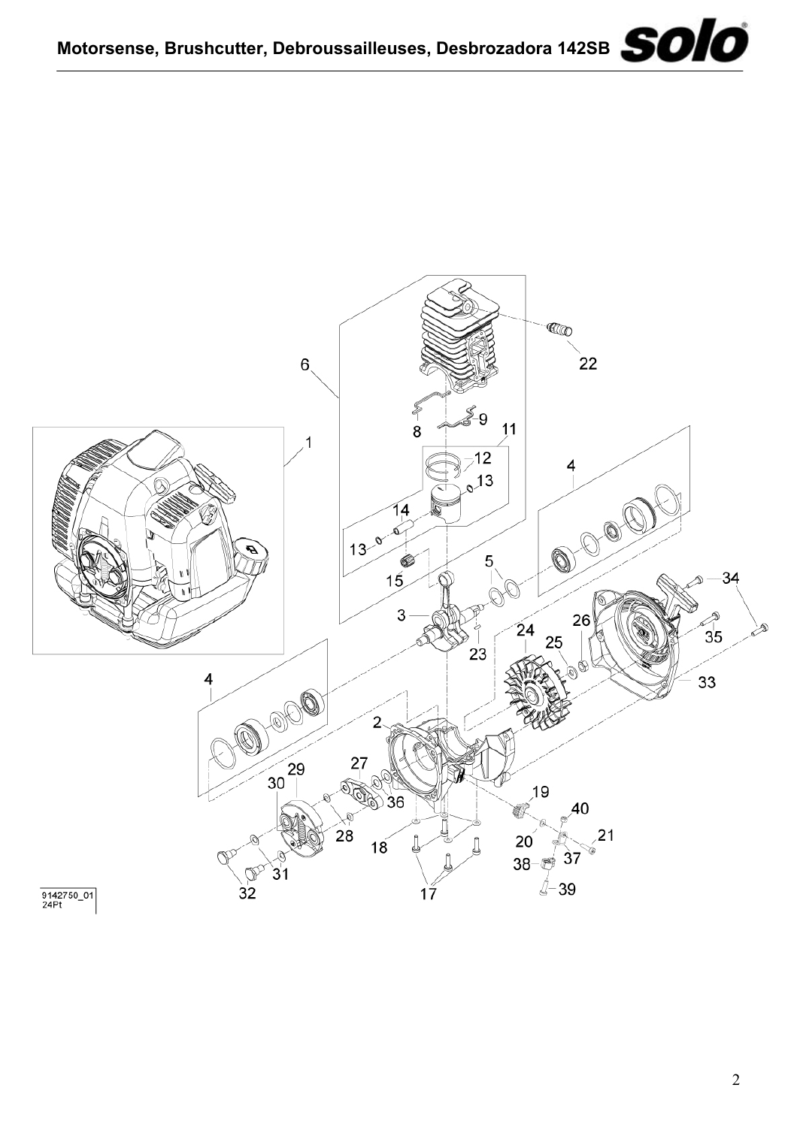<span id="page-1-0"></span>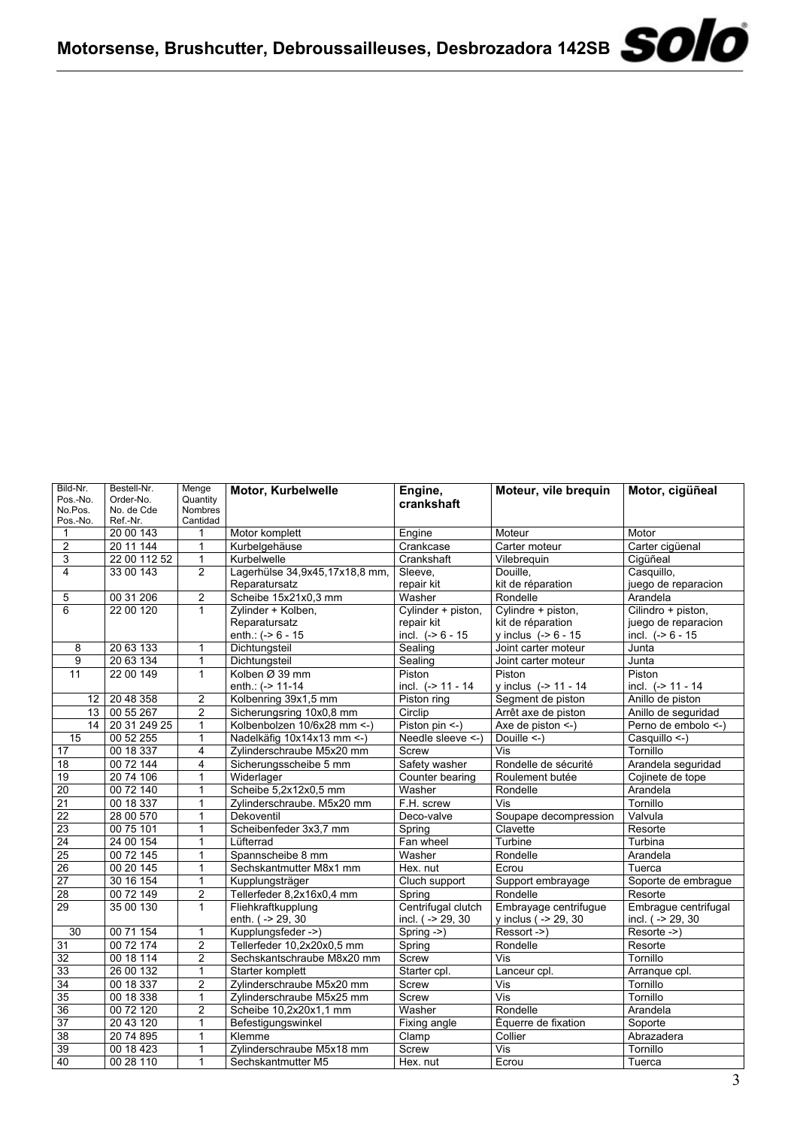| Bild-Nr.<br>Pos.-No. | Bestell-Nr.<br>Order-No. | Menge<br>Quantity | Motor, Kurbelwelle             | Engine,              | Moteur, vile brequin   | Motor, cigüñeal      |  |
|----------------------|--------------------------|-------------------|--------------------------------|----------------------|------------------------|----------------------|--|
| No.Pos.              | No. de Cde               | <b>Nombres</b>    |                                | crankshaft           |                        |                      |  |
| Pos.-No.             | Ref.-Nr.                 | Cantidad          |                                |                      |                        |                      |  |
| 1                    | 20 00 143                | 1                 | Motor komplett                 | Engine               | Moteur                 | Motor                |  |
| 2                    | 20 11 144                | $\mathbf{1}$      | Kurbelgehäuse                  | Crankcase            | Carter moteur          | Carter cigüenal      |  |
| 3                    | 22 00 112 52             | $\mathbf{1}$      | Kurbelwelle                    | Crankshaft           | Vilebreguin            | Ciqüñeal             |  |
| 4                    | 33 00 143                | $\overline{2}$    | Lagerhülse 34,9x45,17x18,8 mm, | Sleeve,              | Douille.               | Casquillo,           |  |
|                      |                          |                   | Reparatursatz                  | repair kit           | kit de réparation      | juego de reparacion  |  |
| 5                    | 00 31 206                | $\overline{2}$    | Scheibe 15x21x0,3 mm           | Washer               | Rondelle               | Arandela             |  |
| $\overline{6}$       | 22 00 120                | 1                 | Zylinder + Kolben,             | Cylinder + piston,   | Cylindre + piston,     | Cilindro + piston,   |  |
|                      |                          |                   | Reparatursatz                  | repair kit           | kit de réparation      | juego de reparacion  |  |
|                      |                          |                   | enth.: $(-8)$ 6 - 15           | incl. $(-86 - 15)$   | y inclus $(-56 - 15)$  | incl. $(-86 - 15)$   |  |
| 8                    | 20 63 133                | 1                 | Dichtungsteil                  | Sealing              | Joint carter moteur    | Junta                |  |
| 9                    | 20 63 134                | 1                 | Dichtungsteil                  | Sealing              | Joint carter moteur    | Junta                |  |
| 11                   | 22 00 149                | $\mathbf{1}$      | Kolben Ø 39 mm                 | Piston               | Piston                 | Piston               |  |
|                      |                          |                   | enth.: $(-5)$ 11-14            | incl. $(-2 11 - 14)$ | y inclus (-> 11 - 14   | incl. (-> 11 - 14    |  |
| 12                   | 20 48 358                | 2                 | Kolbenring 39x1,5 mm           | Piston ring          | Segment de piston      | Anillo de piston     |  |
| $\overline{13}$      | 00 55 267                | $\overline{2}$    | Sicherungsring 10x0,8 mm       | Circlip              | Arrêt axe de piston    | Anillo de seguridad  |  |
| 14                   | 20 31 249 25             | 1                 | Kolbenbolzen 10/6x28 mm <- )   | Piston pin <- )      | Axe de piston $\le$ -) | Perno de embolo <-)  |  |
| 15                   | 00 52 255                | 1                 | Nadelkäfig 10x14x13 mm <- )    | Needle sleeve <- )   | Douille $\leq$ -)      | Casquillo <-)        |  |
| 17                   | 00 18 337                | 4                 | Zylinderschraube M5x20 mm      | Screw                | Vis                    | Tornillo             |  |
| 18                   | 00 72 144                | 4                 | Sicherungsscheibe 5 mm         | Safety washer        | Rondelle de sécurité   | Arandela seguridad   |  |
| 19                   | 20 74 106                | 1                 | Widerlager                     | Counter bearing      | Roulement butée        | Cojinete de tope     |  |
| 20                   | 00 72 140                | $\mathbf{1}$      | Scheibe 5,2x12x0,5 mm          | Washer               | Rondelle               | Arandela             |  |
| $\overline{21}$      | 00 18 337                | 1                 | Zylinderschraube. M5x20 mm     | F.H. screw           | Vis                    | Tornillo             |  |
| 22                   | 28 00 570                | $\mathbf{1}$      | Dekoventil                     | Deco-valve           | Soupape decompression  | Valvula              |  |
| 23                   | 00 75 101                | 1                 | Scheibenfeder 3x3,7 mm         | Spring               | Clavette               | Resorte              |  |
| $\overline{24}$      | 24 00 154                | $\mathbf{1}$      | Lüfterrad                      | Fan wheel            | Turbine                | Turbina              |  |
| 25                   | 00 72 145                | $\mathbf{1}$      | Spannscheibe 8 mm              | Washer               | Rondelle               | Arandela             |  |
| $\overline{26}$      | 00 20 145                | 1                 | Sechskantmutter M8x1 mm        | Hex. nut             | Ecrou                  | Tuerca               |  |
| 27                   | 30 16 154                | 1                 | Kupplungsträger                | Cluch support        | Support embrayage      | Soporte de embrague  |  |
| $\overline{28}$      | 00 72 149                | $\overline{2}$    | Tellerfeder 8,2x16x0,4 mm      | Spring               | Rondelle               | Resorte              |  |
| 29                   | 35 00 130                | 1                 | Fliehkraftkupplung             | Centrifugal clutch   | Embrayage centrifugue  | Embrague centrifugal |  |
|                      |                          |                   | enth. ( -> 29, 30              | incl. ( -> 29, 30    | y inclus ( $-$ 29, 30  | incl. ( -> 29, 30    |  |
| $\overline{30}$      | 00 71 154                | 1                 | Kupplungsfeder ->)             | Spring ->)           | Ressort ->)            | Resorte ->)          |  |
| 31                   | 00 72 174                | 2                 | Tellerfeder 10,2x20x0,5 mm     | Spring               | Rondelle               | Resorte              |  |
| $\overline{32}$      | 00 18 114                | $\overline{2}$    | Sechskantschraube M8x20 mm     | Screw                | Vis                    | Tornillo             |  |
| $\overline{33}$      | 26 00 132                | 1                 | Starter komplett               | Starter cpl.         | Lanceur cpl.           | Arranque cpl.        |  |
| $\overline{34}$      | 00 18 337                | $\overline{2}$    | Zylinderschraube M5x20 mm      | Screw                | Vis                    | Tornillo             |  |
| $\overline{35}$      | 00 18 338                | 1                 | Zylinderschraube M5x25 mm      | <b>Screw</b>         | Vis                    | Tornillo             |  |
| $\overline{36}$      | 00 72 120                | 2                 | Scheibe 10,2x20x1,1 mm         | Washer               | Rondelle               | Arandela             |  |
| 37                   | 20 43 120                | $\mathbf{1}$      | Befestigungswinkel             | Fixing angle         | Équerre de fixation    | Soporte              |  |
| $\overline{38}$      | 20 74 895                | 1                 | Klemme                         | Clamp                | Collier                | Abrazadera           |  |
| 39                   | 00 18 423                | 1                 | Zylinderschraube M5x18 mm      | Screw                | Vis                    | Tornillo             |  |
| 40                   | 00 28 110                | $\mathbf{1}$      | Sechskantmutter M5             | Hex. nut             | Ecrou                  | Tuerca               |  |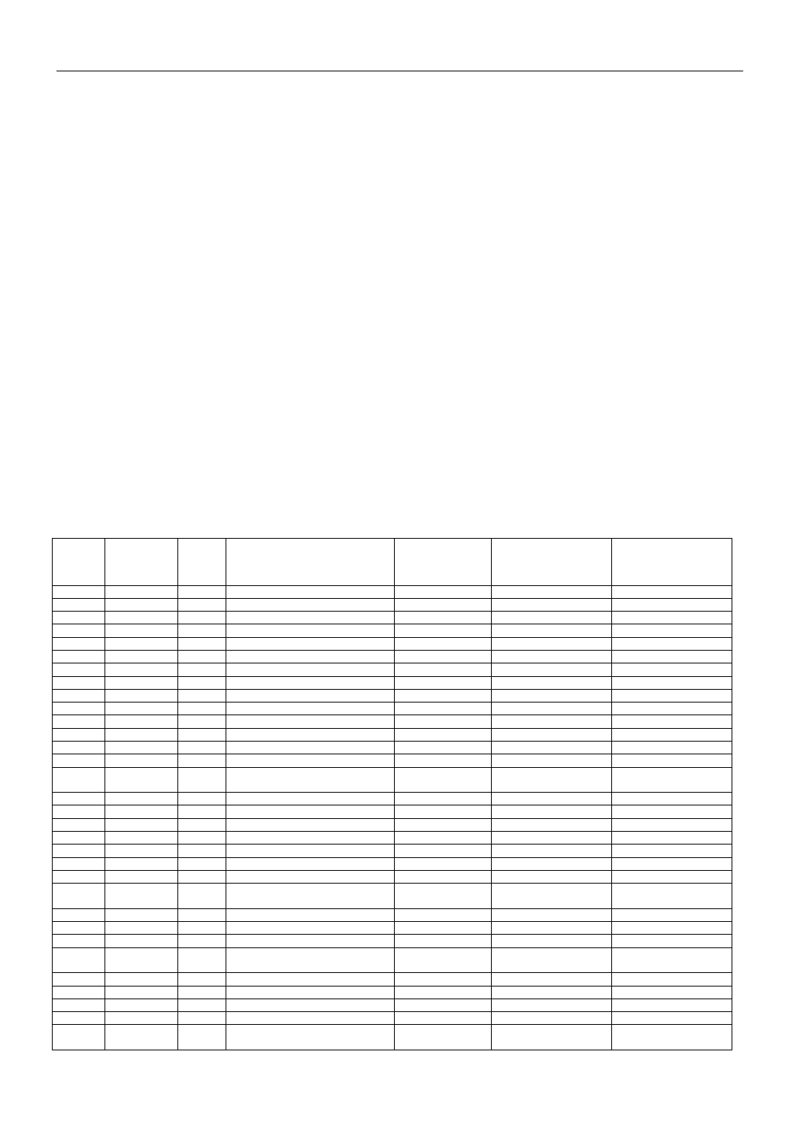| Bild-Nr.            | Bestell-Nr.             | Menge                      | Luftfilter, Vergaser,      | Air filter,         | Filtre à air,              | Filtro de aire,               |  |
|---------------------|-------------------------|----------------------------|----------------------------|---------------------|----------------------------|-------------------------------|--|
| Pos.-No.<br>No.Pos. | Order-No.<br>No. de Cde | Quantity<br><b>Nombres</b> | Auspuff                    | carburetor,         | carburateur,               | carburador.                   |  |
| Pos.-No.            | Ref.-Nr.                | Cantidad                   |                            | exhaust             | echappement                | escape                        |  |
| $\mathbf{1}$        | 00 21 256               | $\overline{2}$             | Vierkantmutter M5          | <b>Nut</b>          | Ecrou                      | Tuerca                        |  |
| $\overline{2}$      | 25 00 133               | 1                          | Auspuff                    | Exhaust             | Echappement                | Escape                        |  |
| 3                   | 20 61 441               | $\mathbf{1}$               | Auspuffdichtung            | Exhaust gasket      | Joint d'échappement        | Junta escape                  |  |
| 4                   | 00 72 144               | 6                          | Sicherungsscheibe 5 mm     | Safety washer       | Rondelle de sécurité       | Arandela seguridad            |  |
| 5                   | 00 18 342               | $\mathbf{1}$               | Zylinderschraube M5x60 mm  | F.H. screw          | Vis                        | Tornillo                      |  |
| 6                   | 00 18 397               | $\overline{2}$             | Zylinderschraube M5x65 mm  | F.H. screw          | Vis                        | Tornillo                      |  |
| $\overline{7}$      | 20 61 155               | $\mathbf{1}$               | Dichtung Ansaugstutzen     | Manifold gasket     | Joint de bride             | Junta de brida                |  |
| 8                   | 20 74 167               | 1                          | Vergaserflansch            | Socket              | Bride d'aspiration         | <b>Brida</b>                  |  |
| $\overline{9}$      | 00 18 326               | 6                          | Zvlinderschraube M4x16 mm  | F.H. screw          | Vis                        | Tornillo                      |  |
| 10                  | 20 74 603 25            | $\mathbf{1}$               | Abdichtplatte              | Sealing plate       | Plaque d'ètanchèitè        | Chapa de junta                |  |
| 11                  | 20 61 307               | $\mathbf{1}$               | Vergaserdichtung           | Carburetor gasket   | Joint de carburateur       | Junta carburador              |  |
| 12                  | 20 61 306               | $\mathbf{1}$               | Vergaserdichtung           | Carburetor gasket   | Joint de carburateur       | Junta carburador              |  |
| $\overline{13}$     | 20 74 314 25            | $\mathbf{1}$               | Vergaserabstandsplatte     | Carburetor plate    | Plaque de carburateur      | Chapa de carburador           |  |
| 14                  | 23 00 160               | $\mathbf{1}$               | Vergaser WT 688 D-Cut      | Carburetor          | Carburateur                | Carburador                    |  |
| $\overline{15}$     | 25 00 157               | $\mathbf{1}$               | Filtergehäuse              | Filter housing      | Carter filtre              | Carter de filtro              |  |
|                     |                         |                            | enth. $( -> 15 - 24)$      | incl. $($ > 15 - 24 | y inclus (-> 15 - 24       | incl. ( $\rightarrow$ 15 - 24 |  |
| 17                  | 20 74 966               | 1                          | Chokeknopf                 | Knob                | <b>Bouton</b>              | <b>Boton</b>                  |  |
| 23                  | 27 00 322               | $\overline{1}$             | <b>Primer Pumpe</b>        | Primer              | Pompe d'amorcage           | Cabador                       |  |
| $\overline{24}$     | 00 64 407               | 150 mm                     | Schlauch 2x1,5 mm ->)      | $Hose ->$           | Tuyau ->)                  | $Tubo \rightarrow)$           |  |
| 27                  | 00 18 429               | 2                          | Linsenschraube 5x50 mm     | Screw               | Vis                        | Tornillo                      |  |
| 28                  | 20 48 154               | $\mathbf{1}$               | Luftfilter                 | Air filter          | Filtre à air               | Filtro de aire                |  |
| 29                  | 20 74 682 25            | $\mathbf{1}$               | Verschlussbolzen           | <b>Bolt</b>         | Axe de retenue             | Perno                         |  |
| 30                  | 20 74 156 25            | $\mathbf{1}$               | Luftfiltergehäuse Oberteil | Filter lid          | Chapeau filtre             | Tapa de filtro                |  |
| 31                  | 21 00 933               | $\mathbf{1}$               | Auspuffdeckel              | Exhaust cover       | Couvercle                  | Tapa de escape                |  |
|                     |                         |                            | enth. $( -> 31 - 33)$      | incl. $(-)$ 31-33   | y inclus $(-5.31-33)$      | incl. $($ > 31-33             |  |
| 32                  | 00 28 157               | $\mathbf{1}$               | <b>Blechmutter M5</b>      | <b>Nut</b>          | Ecrou                      | Tuerca                        |  |
| 33                  | 20 42 890               | $\mathbf{1}$               | Isolierfolie ->)           | Isolating foil ->)  | Feuille isolatrice ->)     | Laminilla ->                  |  |
| 34                  | 20 43 178               | $\mathbf{1}$               | Ablenkblech                | Deflector plate     | Tole de transfer           | Chapa de viacion              |  |
| 35                  | 00 13 282               | $\mathbf{1}$               | Linsenblechschraube        |                     |                            |                               |  |
|                     |                         |                            | 3.5x9.5 mm                 |                     |                            |                               |  |
| 36                  | 00 18 335               | 1                          | Zylinderschraube M5x12 mm  | F.H. screw          | $\overline{\mathsf{V}}$ is | Tornillo                      |  |
| $\overline{37}$     | 00 18 336               | $\mathbf{1}$               | Zylinderschraube M5x16 mm  | F.H. screw          | Vis                        | Tornillo                      |  |
| 38                  | 20 74 600               | $\mathbf{1}$               | Haltering                  | Ring                | Baque de retient           | Anillo                        |  |
| 39                  | 28 00 142               | $\mathbf{1}$               | Bowdenzug Gas              | Throttle cable      | Câble des gaz              | Cable bowden                  |  |
| 40                  | 05 10 984               | $\mathbf{1}$               | Reparatursatz - Vergaser   | Repair-kit -        | Kit de réparation -        | Juego de reparacion -         |  |
|                     |                         |                            |                            | carburetor          | carburateur                | carburador                    |  |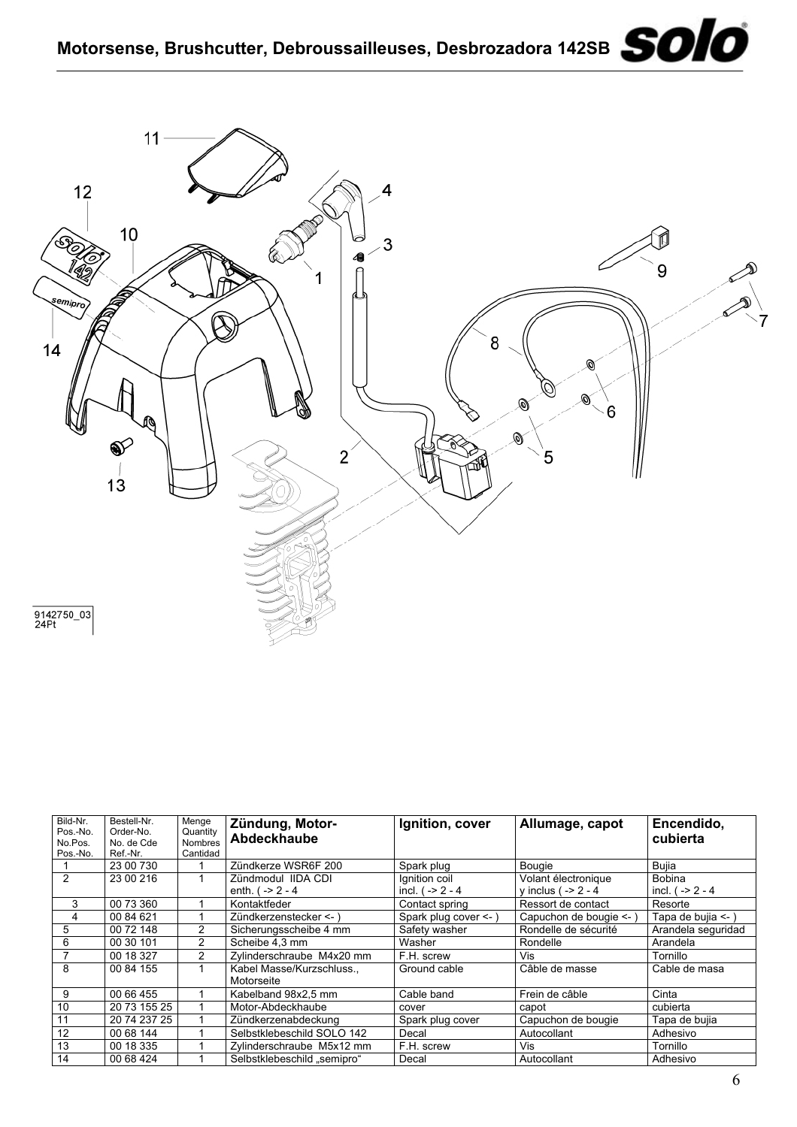<span id="page-5-1"></span><span id="page-5-0"></span>

| Bild-Nr.       | Bestell-Nr.  | Menge          | Zündung, Motor-             | Ignition, cover       | Allumage, capot       | Encendido,         |
|----------------|--------------|----------------|-----------------------------|-----------------------|-----------------------|--------------------|
| Pos.-No.       | Order-No.    | Quantity       | Abdeckhaube                 |                       |                       | cubierta           |
| No.Pos.        | No. de Cde   | <b>Nombres</b> |                             |                       |                       |                    |
| Pos.-No.       | Ref.-Nr.     | Cantidad       |                             |                       |                       |                    |
|                | 23 00 730    |                | Zündkerze WSR6F 200         | Spark plug            | Bougie                | Bujia              |
| $\overline{2}$ | 23 00 216    |                | Zündmodul IIDA CDI          | Ignition coil         | Volant électronique   | <b>Bobina</b>      |
|                |              |                | enth. $( -2 - 4)$           | incl. $( -2 - 4)$     | y inclus ( $-2 - 4$   | incl. $( -2 - 4)$  |
| 3              | 00 73 360    |                | Kontaktfeder                | Contact spring        | Ressort de contact    | Resorte            |
| 4              | 00 84 621    |                | Zündkerzenstecker <- )      | Spark plug cover <- ) | Capuchon de bougie <- | Tapa de bujia <- ) |
| 5              | 00 72 148    | 2              | Sicherungsscheibe 4 mm      | Safety washer         | Rondelle de sécurité  | Arandela seguridad |
| 6              | 00 30 101    | $\overline{2}$ | Scheibe 4.3 mm              | Washer                | Rondelle              | Arandela           |
|                | 00 18 327    | 2              | Zylinderschraube M4x20 mm   | F.H. screw            | Vis.                  | Tornillo           |
| 8              | 00 84 155    |                | Kabel Masse/Kurzschluss     | Ground cable          | Câble de masse        | Cable de masa      |
|                |              |                | Motorseite                  |                       |                       |                    |
| 9              | 00 66 455    |                | Kabelband 98x2.5 mm         | Cable band            | Frein de câble        | Cinta              |
| 10             | 20 73 155 25 |                | Motor-Abdeckhaube           | cover                 | capot                 | cubierta           |
| 11             | 20 74 237 25 |                | Zündkerzenabdeckung         | Spark plug cover      | Capuchon de bougie    | Tapa de bujia      |
| 12             | 00 68 144    |                | Selbstklebeschild SOLO 142  | Decal                 | Autocollant           | Adhesivo           |
| 13             | 00 18 335    |                | Zylinderschraube M5x12 mm   | F.H. screw            | Vis                   | Tornillo           |
| 14             | 00 68 424    |                | Selbstklebeschild "semipro" | Decal                 | Autocollant           | Adhesivo           |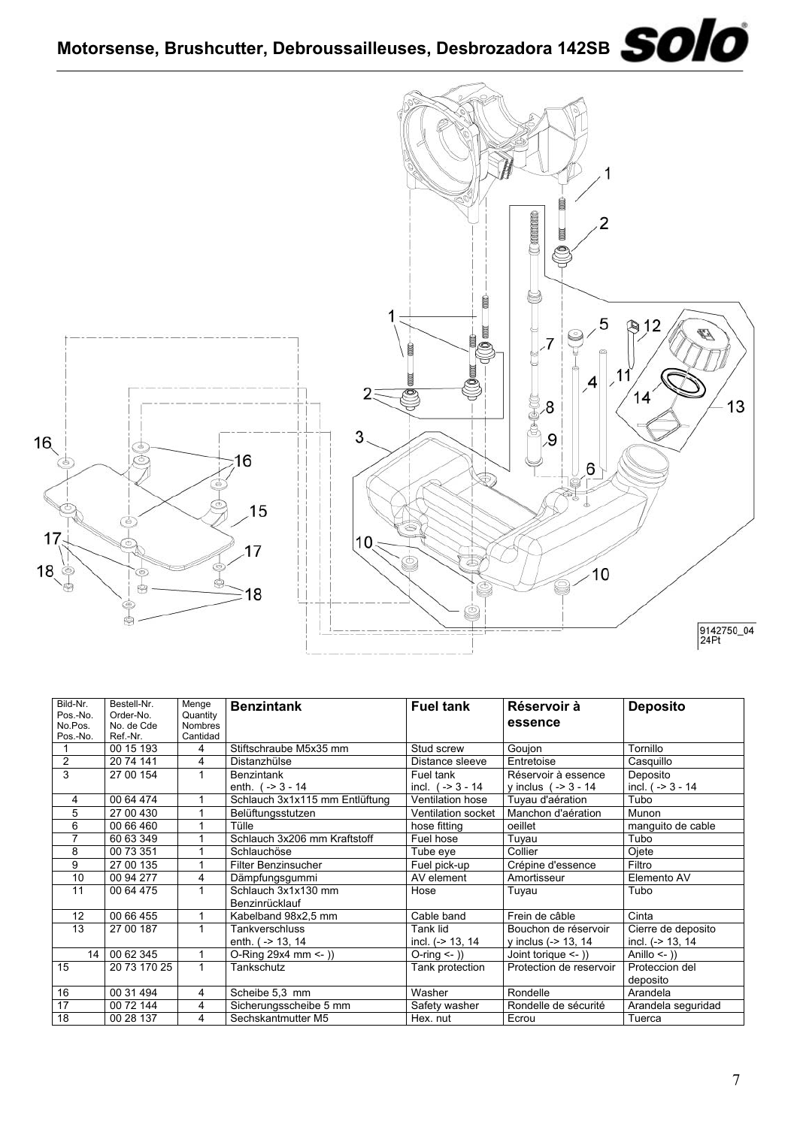<span id="page-6-0"></span>

| Bild-Nr.<br>Pos.-No.<br>No.Pos.<br>Pos.-No. | Bestell-Nr.<br>Order-No.<br>No. de Cde<br>Ref.-Nr. | Menge<br>Quantity<br><b>Nombres</b><br>Cantidad | <b>Benzintank</b>                     | <b>Fuel tank</b>       | Réservoir à<br>essence  | <b>Deposito</b>     |
|---------------------------------------------|----------------------------------------------------|-------------------------------------------------|---------------------------------------|------------------------|-------------------------|---------------------|
|                                             | 00 15 193                                          | 4                                               | Stiftschraube M5x35 mm                | Stud screw             | Goujon                  | Tornillo            |
| $\overline{2}$                              | 20 74 141                                          | 4                                               | Distanzhülse                          | Distance sleeve        | Entretoise              | Casquillo           |
| 3                                           | 27 00 154                                          |                                                 | <b>Benzintank</b>                     | Fuel tank              | Réservoir à essence     | Deposito            |
|                                             |                                                    |                                                 | enth. $(-3 - 14)$                     | incl. $(-3 - 3 - 14)$  | y inclus $(-3 - 14)$    | incl. $(-3 - 14)$   |
| 4                                           | 00 64 474                                          |                                                 | Schlauch 3x1x115 mm Entlüftung        | Ventilation hose       | Tuyau d'aération        | Tubo                |
| 5                                           | 27 00 430                                          |                                                 | Belüftungsstutzen                     | Ventilation socket     | Manchon d'aération      | Munon               |
| 6                                           | 00 66 460                                          |                                                 | Tülle                                 | hose fitting           | oeillet                 | manquito de cable   |
| $\overline{7}$                              | 60 63 349                                          |                                                 | Schlauch 3x206 mm Kraftstoff          | Fuel hose              | Tuyau                   | Tubo                |
| 8                                           | 00 73 351                                          |                                                 | Schlauchöse                           | Tube eye               | Collier                 | Ojete               |
| 9                                           | 27 00 135                                          |                                                 | Filter Benzinsucher                   | Fuel pick-up           | Crépine d'essence       | Filtro              |
| 10                                          | 00 94 277                                          | 4                                               | Dämpfungsgummi                        | AV element             | Amortisseur             | Elemento AV         |
| 11                                          | 00 64 475                                          | 1                                               | Schlauch 3x1x130 mm<br>Benzinrücklauf | Hose                   | Tuyau                   | Tubo                |
| 12                                          | 00 66 455                                          |                                                 | Kabelband 98x2,5 mm                   | Cable band             | Frein de câble          | Cinta               |
| 13                                          | 27 00 187                                          | 1                                               | Tankverschluss                        | Tank lid               | Bouchon de réservoir    | Cierre de deposito  |
|                                             |                                                    |                                                 | enth. $( -2 13, 14 $                  | incl. (-> 13, 14       | y inclus $(-> 13, 14)$  | incl. $(-> 13, 14)$ |
| 14                                          | 00 62 345                                          | 1                                               | O-Ring 29x4 mm <- ))                  | O-ring $\leftarrow$ )) | Joint torique $\leq$ .) | Anillo $\leq$ )     |
| 15                                          | 20 73 170 25                                       | $\mathbf{1}$                                    | Tankschutz                            | Tank protection        | Protection de reservoir | Proteccion del      |
|                                             |                                                    |                                                 |                                       |                        |                         | deposito            |
| 16                                          | 00 31 494                                          | 4                                               | Scheibe 5.3 mm                        | Washer                 | Rondelle                | Arandela            |
| 17                                          | 00 72 144                                          | 4                                               | Sicherungsscheibe 5 mm                | Safety washer          | Rondelle de sécurité    | Arandela seguridad  |
| 18                                          | 00 28 137                                          | 4                                               | Sechskantmutter M5                    | Hex. nut               | Ecrou                   | Tuerca              |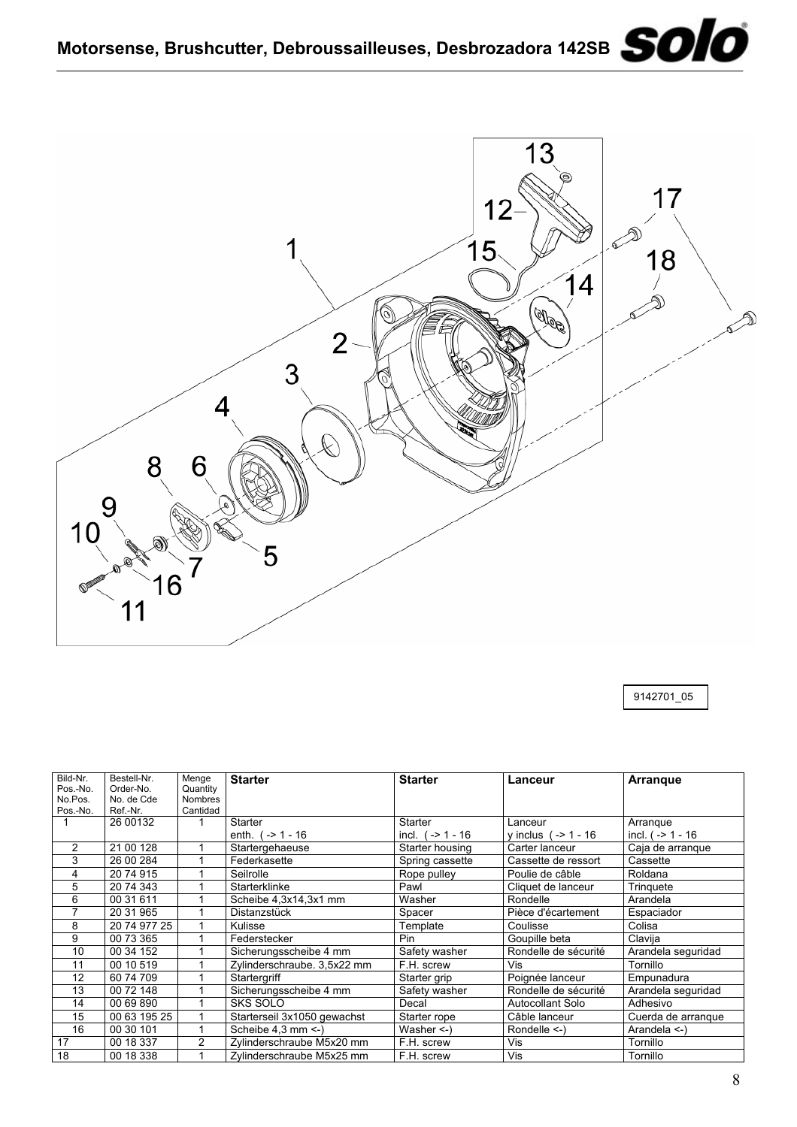<span id="page-7-1"></span><span id="page-7-0"></span>

9142701\_05

| Bild-Nr.<br>Pos.-No.<br>No.Pos. | Bestell-Nr.<br>Order-No.<br>No. de Cde | Menge<br>Quantity<br><b>Nombres</b> | <b>Starter</b>              | <b>Starter</b>     | Lanceur                 | <b>Arrangue</b>                 |
|---------------------------------|----------------------------------------|-------------------------------------|-----------------------------|--------------------|-------------------------|---------------------------------|
| Pos.-No.                        | Ref.-Nr.<br>26 00132                   | Cantidad                            | Starter                     | Starter            | Lanceur                 |                                 |
|                                 |                                        |                                     | enth. $(-2) - 1 - 16$       | incl. $(-2 1 - 16$ | y inclus $(-2 1 - 16$   | Arrangue<br>incl. $( -2 1 - 16$ |
| 2                               | 21 00 128                              |                                     | Startergehaeuse             | Starter housing    | Carter lanceur          | Caja de arranque                |
| 3                               | 26 00 284                              |                                     | Federkasette                | Spring cassette    | Cassette de ressort     | Cassette                        |
| 4                               | 20 74 915                              |                                     | Seilrolle                   | Rope pulley        | Poulie de câble         | Roldana                         |
| 5                               | 20 74 343                              |                                     | Starterklinke               | Pawl               | Cliquet de lanceur      | Trinquete                       |
| 6                               | 00 31 611                              |                                     | Scheibe 4,3x14,3x1 mm       | Washer             | Rondelle                | Arandela                        |
| 7                               | 20 31 965                              |                                     | Distanzstück                | Spacer             | Pièce d'écartement      | Espaciador                      |
| 8                               | 20 74 977 25                           |                                     | Kulisse                     | Template           | Coulisse                | Colisa                          |
| 9                               | 00 73 365                              |                                     | Federstecker                | Pin                | Goupille beta           | Clavija                         |
| 10                              | 00 34 152                              |                                     | Sicherungsscheibe 4 mm      | Safety washer      | Rondelle de sécurité    | Arandela seguridad              |
| 11                              | 00 10 519                              |                                     | Zylinderschraube. 3,5x22 mm | F.H. screw         | Vis                     | Tornillo                        |
| 12                              | 60 74 709                              |                                     | Startergriff                | Starter grip       | Poignée lanceur         | Empunadura                      |
| 13                              | 00 72 148                              |                                     | Sicherungsscheibe 4 mm      | Safety washer      | Rondelle de sécurité    | Arandela seguridad              |
| 14                              | 00 69 890                              |                                     | <b>SKS SOLO</b>             | Decal              | <b>Autocollant Solo</b> | Adhesivo                        |
| 15                              | 00 63 195 25                           |                                     | Starterseil 3x1050 gewachst | Starter rope       | Câble lanceur           | Cuerda de arrangue              |
| 16                              | 00 30 101                              |                                     | Scheibe 4,3 mm <- )         | Washer $\leq$ -)   | Rondelle $\le$ -)       | Arandela <-)                    |
| 17                              | 00 18 337                              | 2                                   | Zylinderschraube M5x20 mm   | F.H. screw         | Vis                     | Tornillo                        |
| 18                              | 00 18 338                              |                                     | Zylinderschraube M5x25 mm   | F.H. screw         | Vis                     | Tornillo                        |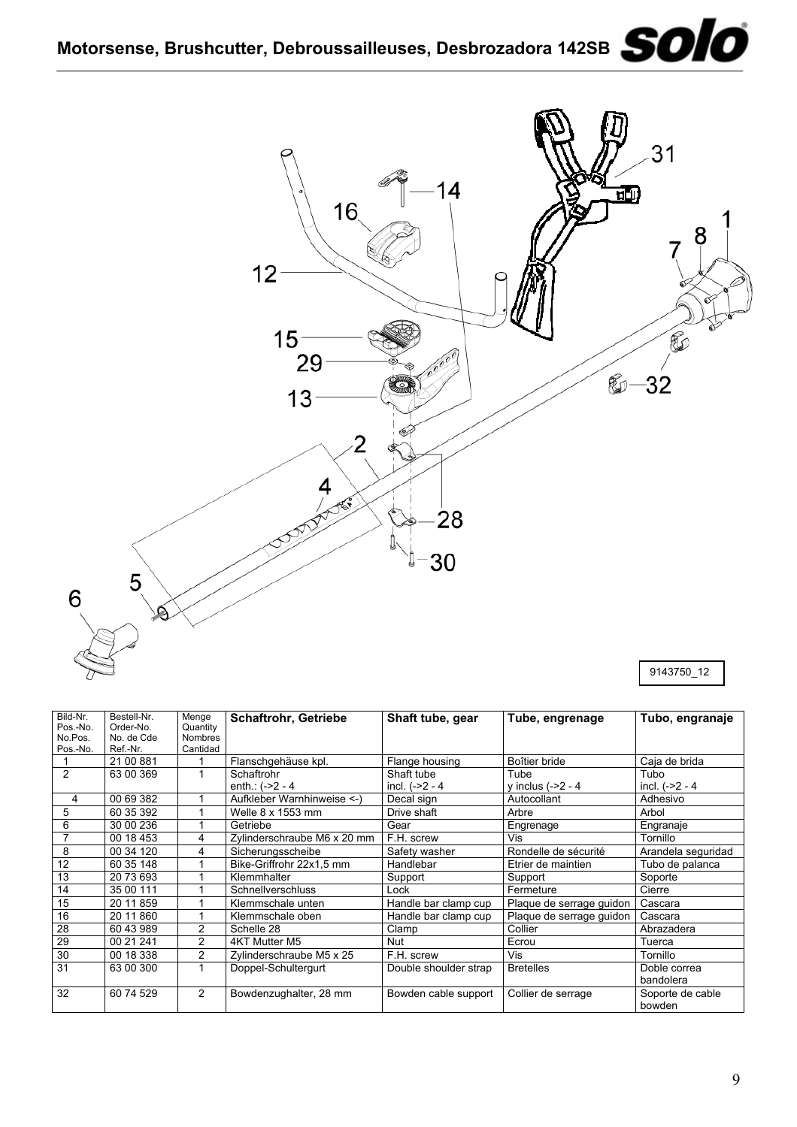<span id="page-8-1"></span><span id="page-8-0"></span>



| Bild-Nr. | Bestell-Nr. | Menge          | <b>Schaftrohr, Getriebe</b> | Shaft tube, gear      | Tube, engrenage          | Tubo, engranaje    |
|----------|-------------|----------------|-----------------------------|-----------------------|--------------------------|--------------------|
| Pos.-No. | Order-No.   | Quantity       |                             |                       |                          |                    |
| No.Pos.  | No. de Cde  | Nombres        |                             |                       |                          |                    |
| Pos.-No. | Ref.-Nr.    | Cantidad       |                             |                       |                          |                    |
|          | 21 00 881   |                | Flanschgehäuse kpl.         | Flange housing        | Boîtier bride            | Caja de brida      |
| 2        | 63 00 369   |                | Schaftrohr                  | Shaft tube            | Tube                     | Tubo               |
|          |             |                | enth: $(-2 - 4)$            | incl. $(-2 - 4)$      | y inclus $(-2 - 4)$      | incl. $(-22 - 4)$  |
| 4        | 00 69 382   |                | Aufkleber Warnhinweise <- ) | Decal sign            | Autocollant              | Adhesivo           |
| 5        | 60 35 392   |                | Welle 8 x 1553 mm           | Drive shaft           | Arbre                    | Arbol              |
| 6        | 30 00 236   |                | Getriebe                    | Gear                  | Engrenage                | Engranaje          |
|          | 00 18 453   | 4              | Zylinderschraube M6 x 20 mm | F.H. screw            | Vis                      | Tornillo           |
| 8        | 00 34 120   | 4              | Sicherungsscheibe           | Safety washer         | Rondelle de sécurité     | Arandela seguridad |
| 12       | 60 35 148   |                | Bike-Griffrohr 22x1.5 mm    | Handlebar             | Etrier de maintien       | Tubo de palanca    |
| 13       | 20 73 693   |                | Klemmhalter                 | Support               | Support                  | Soporte            |
| 14       | 35 00 111   |                | Schnellverschluss           | Lock                  | Fermeture                | Cierre             |
| 15       | 20 11 859   |                | Klemmschale unten           | Handle bar clamp cup  | Plaque de serrage guidon | Cascara            |
| 16       | 20 11 860   |                | Klemmschale oben            | Handle bar clamp cup  | Plaque de serrage guidon | Cascara            |
| 28       | 60 43 989   | 2              | Schelle 28                  | Clamp                 | Collier                  | Abrazadera         |
| 29       | 00 21 241   | 2              | 4KT Mutter M5               | Nut                   | Ecrou                    | Tuerca             |
| 30       | 00 18 338   | 2              | Zylinderschraube M5 x 25    | F.H. screw            | Vis                      | Tornillo           |
| 31       | 63 00 300   |                | Doppel-Schultergurt         | Double shoulder strap | <b>Bretelles</b>         | Doble correa       |
|          |             |                |                             |                       |                          | bandolera          |
| 32       | 60 74 529   | $\overline{2}$ | Bowdenzughalter, 28 mm      | Bowden cable support  | Collier de serrage       | Soporte de cable   |
|          |             |                |                             |                       |                          | bowden             |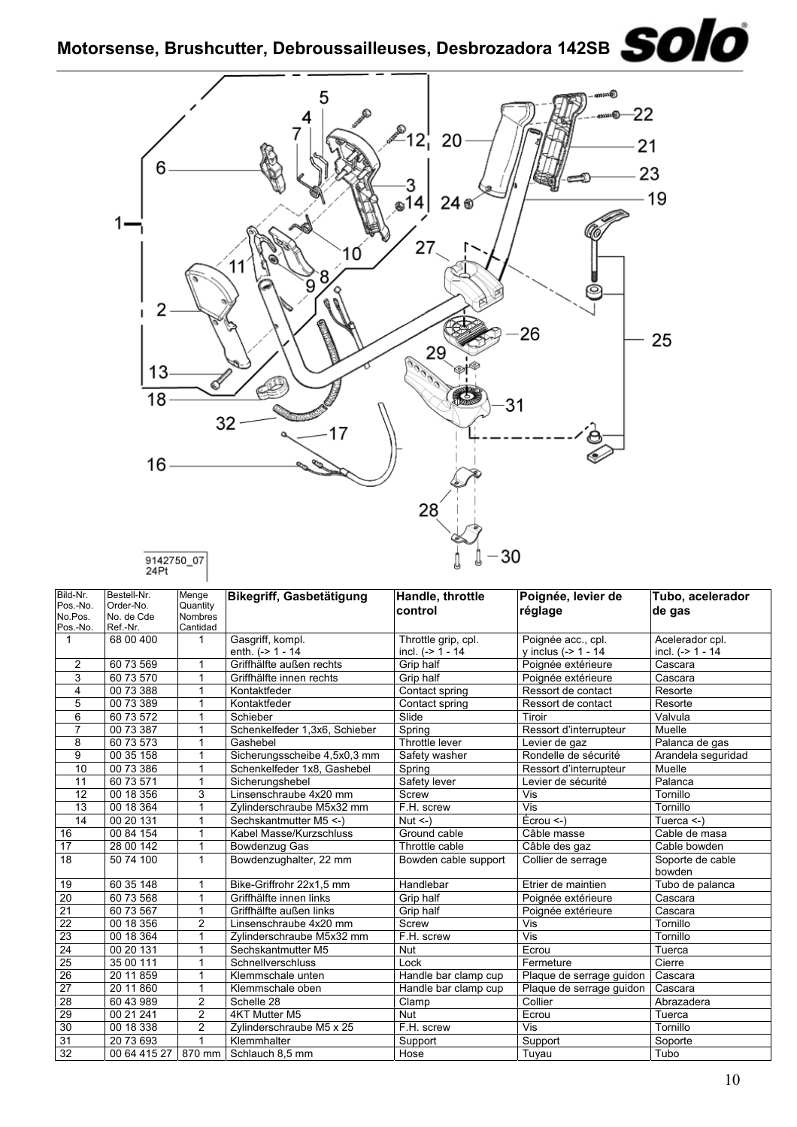# <span id="page-9-0"></span>Motorsense, Brushcutter, Debroussailleuses, Desbrozadora 142SB<br> **SOIO**



| Bild-Nr.<br>Pos.-No.<br>No.Pos.<br>Pos.-No. | Bestell-Nr.<br>Order-No.<br>No. de Cde<br>Ref.-Nr. | Menge<br>Quantity<br><b>Nombres</b><br>Cantidad | Bikegriff, Gasbetätigung      | Handle, throttle<br>control | Poignée, levier de<br>réglage | Tubo, acelerador<br>de gas |
|---------------------------------------------|----------------------------------------------------|-------------------------------------------------|-------------------------------|-----------------------------|-------------------------------|----------------------------|
| 1                                           | 68 00 400                                          | 1                                               | Gasgriff, kompl.              | Throttle grip, cpl.         | Poignée acc., cpl.            | Acelerador cpl.            |
|                                             |                                                    |                                                 | enth. $(-2 1 - 14)$           | incl. $(-> 1 - 14)$         | v inclus $(-) 1 - 14$         | incl. $(-> 1 - 14$         |
| $\overline{2}$                              | 60 73 569                                          | 1                                               | Griffhälfte außen rechts      | Grip half                   | Poignée extérieure            | Cascara                    |
| 3                                           | 60 73 570                                          | 1                                               | Griffhälfte innen rechts      | Grip half                   | Poignée extérieure            | Cascara                    |
| $\overline{4}$                              | 00 73 388                                          | 1                                               | Kontaktfeder                  | Contact spring              | Ressort de contact            | Resorte                    |
| 5                                           | 00 73 389                                          | 1                                               | Kontaktfeder                  | Contact spring              | Ressort de contact            | Resorte                    |
| 6                                           | 60 73 572                                          | 1                                               | Schieber                      | Slide                       | Tiroir                        | Valvula                    |
| $\overline{7}$                              | 00 73 387                                          | 1                                               | Schenkelfeder 1,3x6, Schieber | Spring                      | Ressort d'interrupteur        | Muelle                     |
| 8                                           | 60 73 573                                          | 1                                               | Gashebel                      | Throttle lever              | Levier de gaz                 | Palanca de gas             |
| 9                                           | 00 35 158                                          | 1                                               | Sicherungsscheibe 4,5x0,3 mm  | Safety washer               | Rondelle de sécurité          | Arandela seguridad         |
| 10                                          | 00 73 386                                          | 1                                               | Schenkelfeder 1x8, Gashebel   | Spring                      | Ressort d'interrupteur        | Muelle                     |
| 11                                          | 60 73 571                                          | $\mathbf{1}$                                    | Sicherungshebel               | Safety lever                | Levier de sécurité            | Palanca                    |
| 12                                          | 00 18 356                                          | 3                                               | Linsenschraube 4x20 mm        | Screw                       | Vis                           | Tornillo                   |
| 13                                          | 00 18 364                                          | 1                                               | Zvlinderschraube M5x32 mm     | F.H. screw                  | Vis                           | Tornillo                   |
| 14                                          | 00 20 131                                          | 1                                               | Sechskantmutter M5 <-         | $Nut < -1$                  | Écrou <                       | Tuerca $\leq$ )            |
| 16                                          | 00 84 154                                          | 1                                               | Kabel Masse/Kurzschluss       | Ground cable                | Câble masse                   | Cable de masa              |
| 17                                          | 28 00 142                                          | 1                                               | Bowdenzug Gas                 | Throttle cable              | Câble des gaz                 | Cable bowden               |
| 18                                          | 50 74 100                                          | $\mathbf{1}$                                    | Bowdenzughalter, 22 mm        | Bowden cable support        | Collier de serrage            | Soporte de cable<br>bowden |
| 19                                          | 60 35 148                                          | 1                                               | Bike-Griffrohr 22x1,5 mm      | Handlebar                   | Etrier de maintien            | Tubo de palanca            |
| 20                                          | 60 73 568                                          | 1                                               | Griffhälfte innen links       | Grip half                   | Poignée extérieure            | Cascara                    |
| 21                                          | 60 73 567                                          | 1                                               | Griffhälfte außen links       | Grip half                   | Poignée extérieure            | Cascara                    |
| 22                                          | 00 18 356                                          | $\overline{2}$                                  | Linsenschraube 4x20 mm        | Screw                       | Vis                           | Tornillo                   |
| 23                                          | 00 18 364                                          | 1                                               | Zylinderschraube M5x32 mm     | F.H. screw                  | $\overline{\mathsf{Vis}}$     | Tornillo                   |
| 24                                          | 00 20 131                                          | $\mathbf{1}$                                    | Sechskantmutter M5            | <b>Nut</b>                  | Ecrou                         | Tuerca                     |
| $\overline{25}$                             | 35 00 111                                          | $\mathbf{1}$                                    | Schnellverschluss             | Lock                        | Fermeture                     | Cierre                     |
| $\overline{26}$                             | 20 11 859                                          | $\mathbf{1}$                                    | Klemmschale unten             | Handle bar clamp cup        | Plaque de serrage guidon      | Cascara                    |
| $\overline{27}$                             | 20 11 860                                          | $\mathbf{1}$                                    | Klemmschale oben              | Handle bar clamp cup        | Plaque de serrage guidon      | Cascara                    |
| 28                                          | 60 43 989                                          | $\overline{2}$                                  | Schelle 28                    | Clamp                       | Collier                       | Abrazadera                 |
| 29                                          | 00 21 241                                          | $\overline{2}$                                  | 4KT Mutter M5                 | <b>Nut</b>                  | Ecrou                         | Tuerca                     |
| $\overline{30}$                             | 00 18 338                                          | 2                                               | Zylinderschraube M5 x 25      | F.H. screw                  | Vis                           | Tornillo                   |
| 31                                          | 20 73 693                                          | 1                                               | Klemmhalter                   | Support                     | Support                       | Soporte                    |
| 32                                          | 00 64 415 27                                       | 870 mm                                          | Schlauch 8,5 mm               | Hose                        | Tuyau                         | Tubo                       |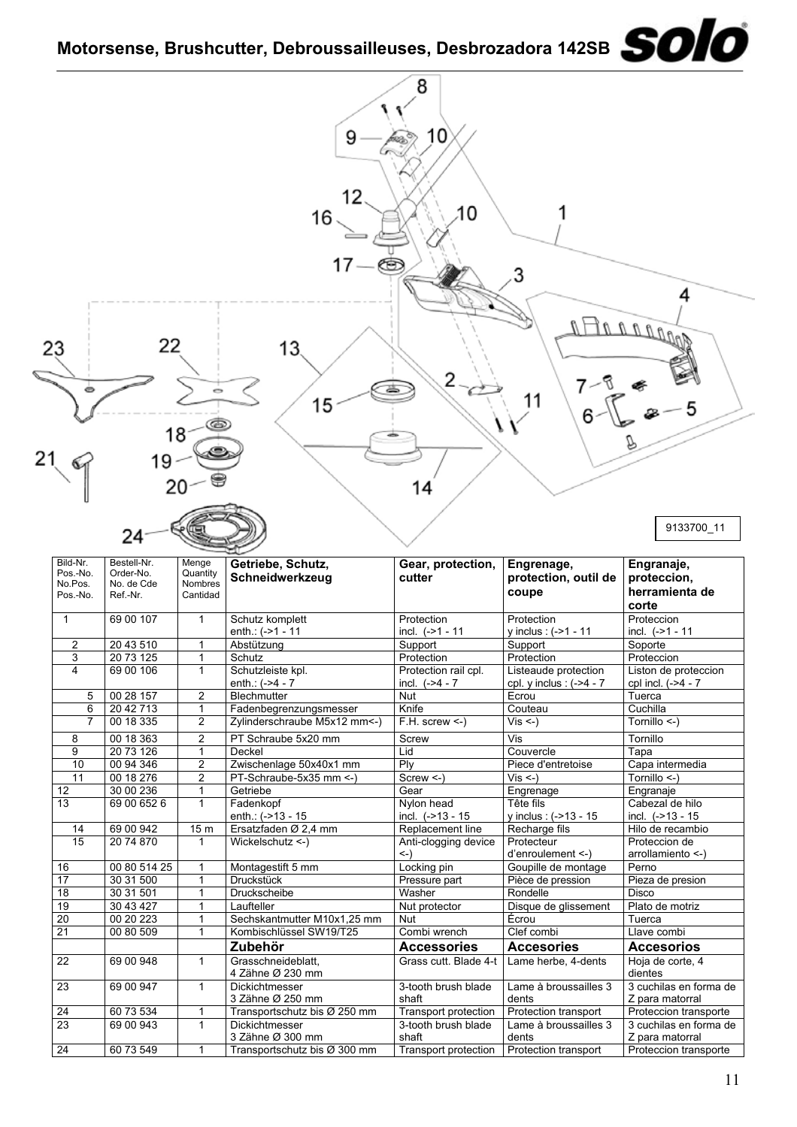## <span id="page-10-0"></span>**Motorsense, Brushcutter, Debroussailleuses, Desbrozadora 142SB**

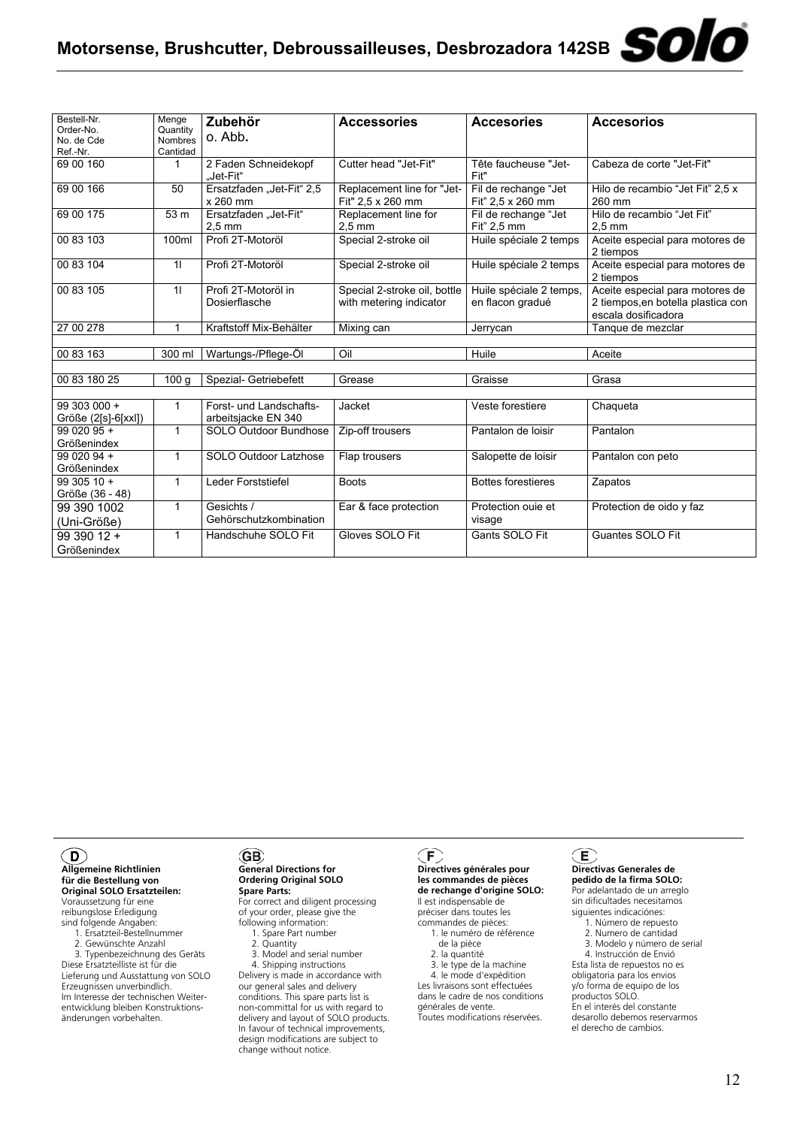## <span id="page-11-0"></span>Motorsense, Brushcutter, Debroussailleuses, Desbrozadora 142SB<br> **SOLO**

<span id="page-11-1"></span>

| Bestell-Nr.<br>Order-No.<br>No. de Cde<br>Ref.-Nr. | Menge<br>Quantity<br><b>Nombres</b><br>Cantidad | Zubehör<br>o. Abb.                             | <b>Accessories</b>                                      | <b>Accesories</b>                           | <b>Accesorios</b>                                                                            |
|----------------------------------------------------|-------------------------------------------------|------------------------------------------------|---------------------------------------------------------|---------------------------------------------|----------------------------------------------------------------------------------------------|
| 69 00 160                                          | 1                                               | 2 Faden Schneidekopf<br>.Jet-Fit"              | Cutter head "Jet-Fit"                                   | Tête faucheuse "Jet-<br>Fit"                | Cabeza de corte "Jet-Fit"                                                                    |
| 69 00 166                                          | 50                                              | Ersatzfaden "Jet-Fit" 2,5<br>x 260 mm          | Replacement line for "Jet-<br>Fit" 2.5 x 260 mm         | Fil de rechange "Jet<br>Fit" 2.5 x 260 mm   | Hilo de recambio "Jet Fit" 2,5 x<br>260 mm                                                   |
| 69 00 175                                          | 53 m                                            | Ersatzfaden "Jet-Fit"<br>$2.5$ mm              | Replacement line for<br>$2.5 \text{ mm}$                | Fil de rechange "Jet<br>Fit" 2.5 mm         | Hilo de recambio "Jet Fit"<br>$2.5 \text{ mm}$                                               |
| 00 83 103                                          | 100ml                                           | Profi 2T-Motoröl                               | Special 2-stroke oil                                    | Huile spéciale 2 temps                      | Aceite especial para motores de<br>2 tiempos                                                 |
| 00 83 104                                          | 11                                              | Profi 2T-Motoröl                               | Special 2-stroke oil                                    | Huile spéciale 2 temps                      | Aceite especial para motores de<br>2 tiempos                                                 |
| 00 83 105                                          | 11                                              | Profi 2T-Motoröl in<br>Dosierflasche           | Special 2-stroke oil, bottle<br>with metering indicator | Huile spéciale 2 temps,<br>en flacon gradué | Aceite especial para motores de<br>2 tiempos, en botella plastica con<br>escala dosificadora |
| 27 00 278                                          | 1                                               | Kraftstoff Mix-Behälter                        | Mixing can                                              | Jerrycan                                    | Tanque de mezclar                                                                            |
|                                                    |                                                 |                                                |                                                         |                                             |                                                                                              |
| 00 83 163                                          | 300 ml                                          | Wartungs-/Pflege-Öl                            | Oil                                                     | Huile                                       | Aceite                                                                                       |
| 00 83 180 25                                       | 100q                                            | Spezial- Getriebefett                          | Grease                                                  | Graisse                                     | Grasa                                                                                        |
|                                                    |                                                 |                                                |                                                         |                                             |                                                                                              |
| 99 303 000 +<br>$Größe (2[s]-6[xx])$               | 1                                               | Forst- und Landschafts-<br>arbeitsjacke EN 340 | Jacket                                                  | Veste forestiere                            | Chaqueta                                                                                     |
| 99 020 95 +<br>Größenindex                         | $\mathbf{1}$                                    | SOLO Outdoor Bundhose                          | Zip-off trousers                                        | Pantalon de loisir                          | Pantalon                                                                                     |
| 99 020 94 +<br>Größenindex                         | $\mathbf{1}$                                    | SOLO Outdoor Latzhose                          | Flap trousers                                           | Salopette de loisir                         | Pantalon con peto                                                                            |
| 99 305 10 +<br>Größe (36 - 48)                     | $\mathbf{1}$                                    | Leder Forststiefel                             | <b>Boots</b>                                            | <b>Bottes forestieres</b>                   | Zapatos                                                                                      |
| 99 390 1002<br>(Uni-Größe)                         | $\mathbf{1}$                                    | Gesichts /<br>Gehörschutzkombination           | Ear & face protection                                   | Protection ouie et<br>visage                | Protection de oido y faz                                                                     |
| 99 390 12 +<br>Größenindex                         | $\mathbf{1}$                                    | Handschuhe SOLO Fit                            | Gloves SOLO Fit                                         | Gants SOLO Fit                              | Guantes SOLO Fit                                                                             |

### $\odot$

**Allgemeine Richtlinien für die Bestellung von Original SOLO Ersatzteilen:** Voraussetzung für eine reibungslose Erledigung sind folgende Angaben: 1. Ersatzteil-Bestellnummer

2. Gewünschte Anzahl

 3. Typenbezeichnung des Geräts Diese Ersatzteilliste ist für die Lieferung und Ausstattung von SOLO Erzeugnissen unverbindlich. Im Interesse der technischen Weiter-entwicklung bleiben Konstruktionsänderungen vorbehalten.

### GB) **General Directions for Ordering Original SOLO**

**Spare Parts:** For correct and diligent processing of your order, please give the

- following information: 1. Spare Part number 2. Quantity
	- 3. Model and serial number 4. Shipping instructions

Delivery is made in accordance with our general sales and delivery conditions. This spare parts list is non-committal for us with regard to delivery and layout of SOLO products. In favour of technical improvements, design modifications are subject to change without notice.

**Directives générales pour les commandes de pièces de rechange d'origine SOLO:** Il est indispensable de préciser dans toutes les

commandes de pièces: 1. le numéro de référence

- de la pièce
- 2. la quantité 3. le type de la machine

 4. le mode d'expédition Les livraisons sont effectuées dans le cadre de nos conditions

générales de vente. Toutes modifications réservées.

### **Directivas Generales de pedido de la firma SOLO:**

Por adelantado de un arreglo sin dificultades necesitamos siguientes indicaciónes:

- 1. Número de repuesto 2. Numero de cantidad
- 3. Modelo y número de serial

4. Instrucción de Envió

Esta lista de repuestos no es obligatoria para los envios y/o forma de equipo de los productos SOLO. En el interés del constante desarollo debemos reservarmos el derecho de cambios.